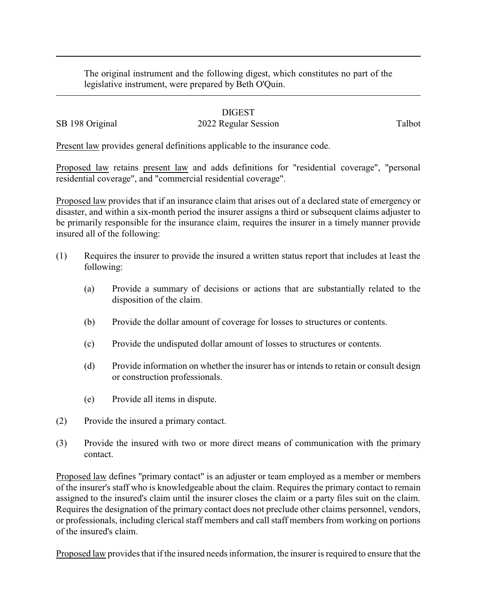The original instrument and the following digest, which constitutes no part of the legislative instrument, were prepared by Beth O'Quin.

## DIGEST

## SB 198 Original 2022 Regular Session Talbot

Present law provides general definitions applicable to the insurance code.

Proposed law retains present law and adds definitions for "residential coverage", "personal residential coverage", and "commercial residential coverage".

Proposed law provides that if an insurance claim that arises out of a declared state of emergency or disaster, and within a six-month period the insurer assigns a third or subsequent claims adjuster to be primarily responsible for the insurance claim, requires the insurer in a timely manner provide insured all of the following:

- (1) Requires the insurer to provide the insured a written status report that includes at least the following:
	- (a) Provide a summary of decisions or actions that are substantially related to the disposition of the claim.
	- (b) Provide the dollar amount of coverage for losses to structures or contents.
	- (c) Provide the undisputed dollar amount of losses to structures or contents.
	- (d) Provide information on whether the insurer has or intends to retain or consult design or construction professionals.
	- (e) Provide all items in dispute.
- (2) Provide the insured a primary contact.
- (3) Provide the insured with two or more direct means of communication with the primary contact.

Proposed law defines "primary contact" is an adjuster or team employed as a member or members of the insurer's staff who is knowledgeable about the claim. Requires the primary contact to remain assigned to the insured's claim until the insurer closes the claim or a party files suit on the claim. Requires the designation of the primary contact does not preclude other claims personnel, vendors, or professionals, including clerical staff members and call staff members from working on portions of the insured's claim.

Proposed law provides that if the insured needs information, the insurer is required to ensure that the